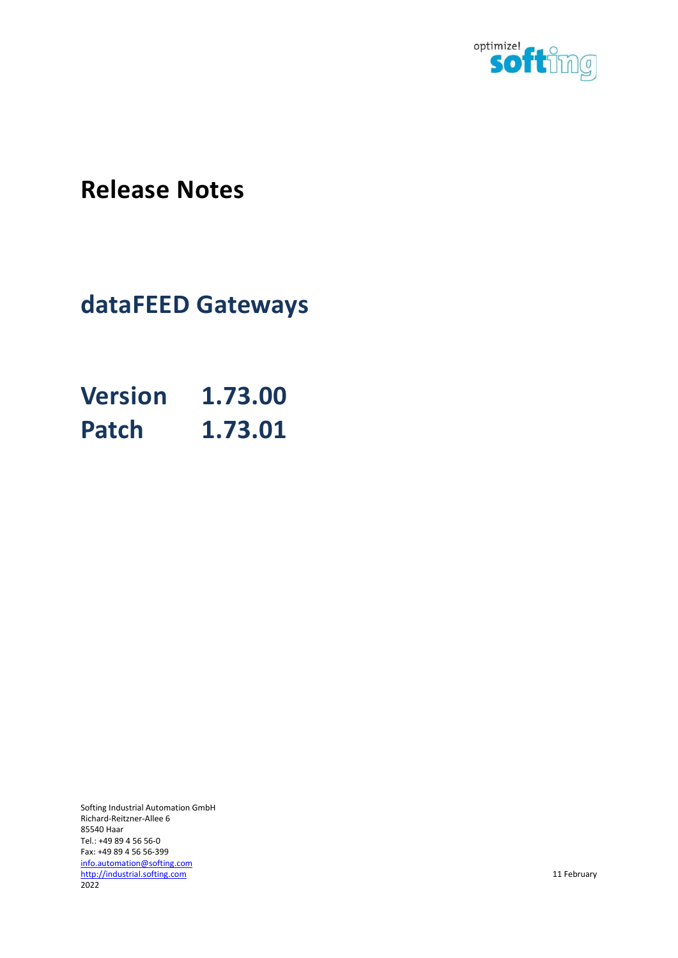

# Release Notes

# dataFEED Gateways

| <b>Version</b> | 1.73.00 |
|----------------|---------|
| <b>Patch</b>   | 1.73.01 |

Softing Industrial Automation GmbH Richard-Reitzner-Allee 6 85540 Haar Tel.: +49 89 4 56 56-0 Fax: +49 89 4 56 56-399 info.automation@softing.com http://industrial.softing.com 11 February 2022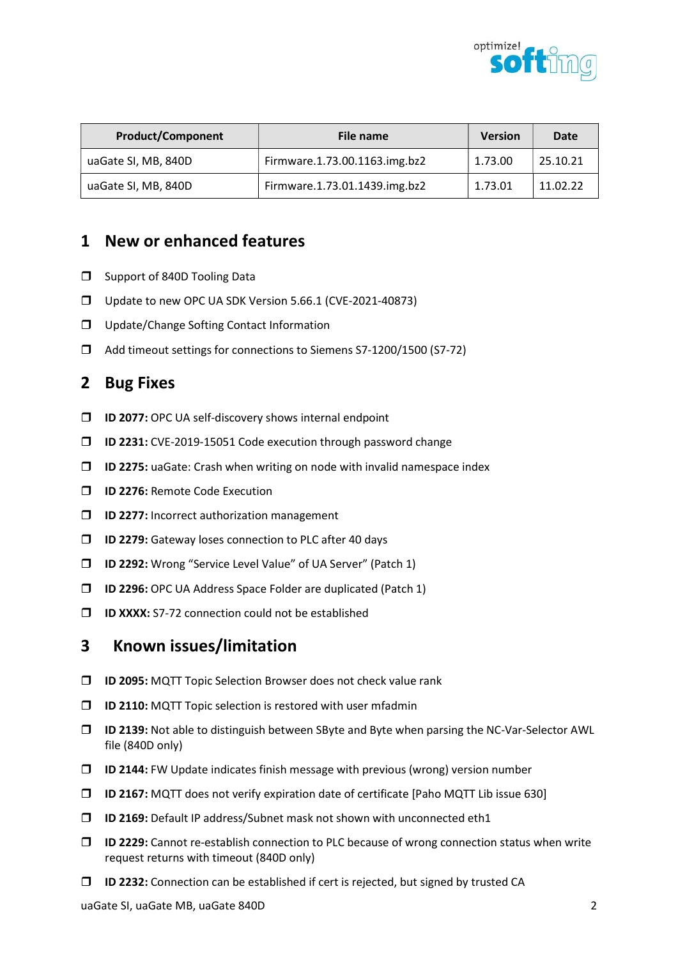

| <b>Product/Component</b> | File name                     | <b>Version</b> | Date     |
|--------------------------|-------------------------------|----------------|----------|
| uaGate SI, MB, 840D      | Firmware.1.73.00.1163.img.bz2 | 1.73.00        | 25.10.21 |
| uaGate SI, MB, 840D      | Firmware.1.73.01.1439.img.bz2 | 1.73.01        | 11.02.22 |

- $\square$  Support of 840D Tooling Data
- □ Update to new OPC UA SDK Version 5.66.1 (CVE-2021-40873)
- **Update/Change Softing Contact Information**
- Add timeout settings for connections to Siemens S7-1200/1500 (S7-72)

#### 2 Bug Fixes

- $\Box$  ID 2077: OPC UA self-discovery shows internal endpoint
- ID 2231: CVE-2019-15051 Code execution through password change
- $\square$  ID 2275: uaGate: Crash when writing on node with invalid namespace index
- **ID 2276: Remote Code Execution**
- **ID 2277:** Incorrect authorization management
- **ID 2279:** Gateway loses connection to PLC after 40 days
- ID 2292: Wrong "Service Level Value" of UA Server" (Patch 1)
- ID 2296: OPC UA Address Space Folder are duplicated (Patch 1)
- $\Box$  ID XXXX: S7-72 connection could not be established

# 3 Known issues/limitation

- **ID 2095:** MQTT Topic Selection Browser does not check value rank
- **ID 2110:** MQTT Topic selection is restored with user mfadmin
- ID 2139: Not able to distinguish between SByte and Byte when parsing the NC-Var-Selector AWL file (840D only)
- $\Box$  ID 2144: FW Update indicates finish message with previous (wrong) version number
- $\Box$  ID 2167: MQTT does not verify expiration date of certificate [Paho MQTT Lib issue 630]
- ID 2169: Default IP address/Subnet mask not shown with unconnected eth1
- $\Box$  ID 2229: Cannot re-establish connection to PLC because of wrong connection status when write request returns with timeout (840D only)
- $\Box$  ID 2232: Connection can be established if cert is rejected, but signed by trusted CA

uaGate SI, uaGate MB, uaGate 840D 2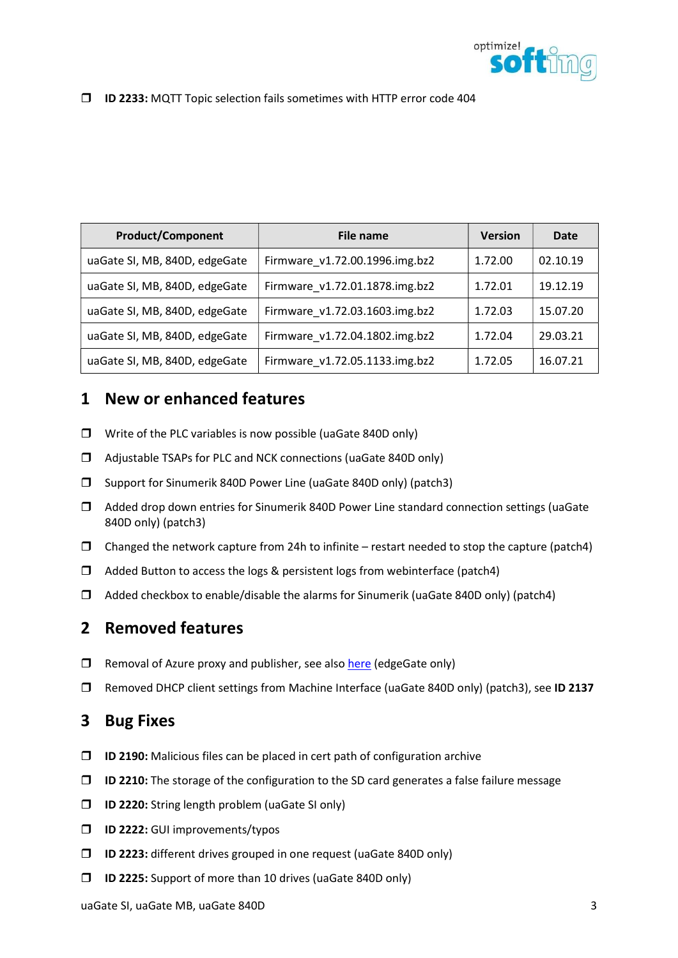

#### ID 2233: MQTT Topic selection fails sometimes with HTTP error code 404

| <b>Product/Component</b>      | File name                      | <b>Version</b> | Date     |
|-------------------------------|--------------------------------|----------------|----------|
| uaGate SI, MB, 840D, edgeGate | Firmware v1.72.00.1996.img.bz2 | 1.72.00        | 02.10.19 |
| uaGate SI, MB, 840D, edgeGate | Firmware v1.72.01.1878.img.bz2 | 1.72.01        | 19.12.19 |
| uaGate SI, MB, 840D, edgeGate | Firmware v1.72.03.1603.img.bz2 | 1.72.03        | 15.07.20 |
| uaGate SI, MB, 840D, edgeGate | Firmware v1.72.04.1802.img.bz2 | 1.72.04        | 29.03.21 |
| uaGate SI, MB, 840D, edgeGate | Firmware v1.72.05.1133.img.bz2 | 1.72.05        | 16.07.21 |

# 1 New or enhanced features

- Write of the PLC variables is now possible (uaGate 840D only)
- Adjustable TSAPs for PLC and NCK connections (uaGate 840D only)
- □ Support for Sinumerik 840D Power Line (uaGate 840D only) (patch3)
- Added drop down entries for Sinumerik 840D Power Line standard connection settings (uaGate 840D only) (patch3)
- $\Box$  Changed the network capture from 24h to infinite restart needed to stop the capture (patch4)
- $\Box$  Added Button to access the logs & persistent logs from webinterface (patch4)
- $\Box$  Added checkbox to enable/disable the alarms for Sinumerik (uaGate 840D only) (patch4)

# 2 Removed features

- $\Box$  Removal of Azure proxy and publisher, see also here (edgeGate only)
- □ Removed DHCP client settings from Machine Interface (uaGate 840D only) (patch3), see ID 2137

#### 3 Bug Fixes

- $\Box$  ID 2190: Malicious files can be placed in cert path of configuration archive
- $\Box$  ID 2210: The storage of the configuration to the SD card generates a false failure message
- $\Box$  ID 2220: String length problem (uaGate SI only)
- **ID 2222:** GUI improvements/typos
- ID 2223: different drives grouped in one request (uaGate 840D only)
- $\Box$  ID 2225: Support of more than 10 drives (uaGate 840D only)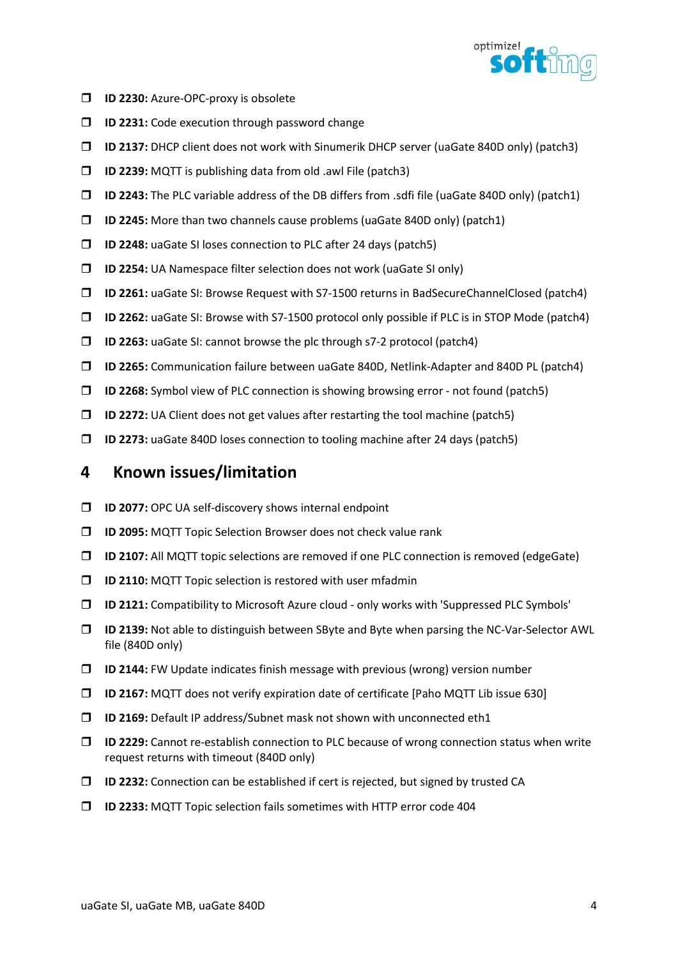

- **ID 2230:** Azure-OPC-proxy is obsolete
- **ID 2231:** Code execution through password change
- ID 2137: DHCP client does not work with Sinumerik DHCP server (uaGate 840D only) (patch3)
- $\Box$  ID 2239: MQTT is publishing data from old .awl File (patch3)
- $\Box$  ID 2243: The PLC variable address of the DB differs from .sdfi file (uaGate 840D only) (patch1)
- $\Box$  ID 2245: More than two channels cause problems (uaGate 840D only) (patch1)
- ID 2248: uaGate SI loses connection to PLC after 24 days (patch5)
- $\Box$  ID 2254: UA Namespace filter selection does not work (uaGate SI only)
- ID 2261: uaGate SI: Browse Request with S7-1500 returns in BadSecureChannelClosed (patch4)
- ID 2262: uaGate SI: Browse with S7-1500 protocol only possible if PLC is in STOP Mode (patch4)
- ID 2263: uaGate SI: cannot browse the plc through s7-2 protocol (patch4)
- ID 2265: Communication failure between uaGate 840D, Netlink-Adapter and 840D PL (patch4)
- $\Box$  ID 2268: Symbol view of PLC connection is showing browsing error not found (patch5)
- $\Box$  ID 2272: UA Client does not get values after restarting the tool machine (patch5)
- $\Box$  ID 2273: uaGate 840D loses connection to tooling machine after 24 days (patch5)

- $\Box$  ID 2077: OPC UA self-discovery shows internal endpoint
- **ID 2095:** MQTT Topic Selection Browser does not check value rank
- ID 2107: All MQTT topic selections are removed if one PLC connection is removed (edgeGate)
- $\Box$  ID 2110: MQTT Topic selection is restored with user mfadmin
- ID 2121: Compatibility to Microsoft Azure cloud only works with 'Suppressed PLC Symbols'
- ID 2139: Not able to distinguish between SByte and Byte when parsing the NC-Var-Selector AWL file (840D only)
- $\Box$  ID 2144: FW Update indicates finish message with previous (wrong) version number
- ID 2167: MQTT does not verify expiration date of certificate [Paho MQTT Lib issue 630]
- ID 2169: Default IP address/Subnet mask not shown with unconnected eth1
- ID 2229: Cannot re-establish connection to PLC because of wrong connection status when write request returns with timeout (840D only)
- $\square$  ID 2232: Connection can be established if cert is rejected, but signed by trusted CA
- ID 2233: MQTT Topic selection fails sometimes with HTTP error code 404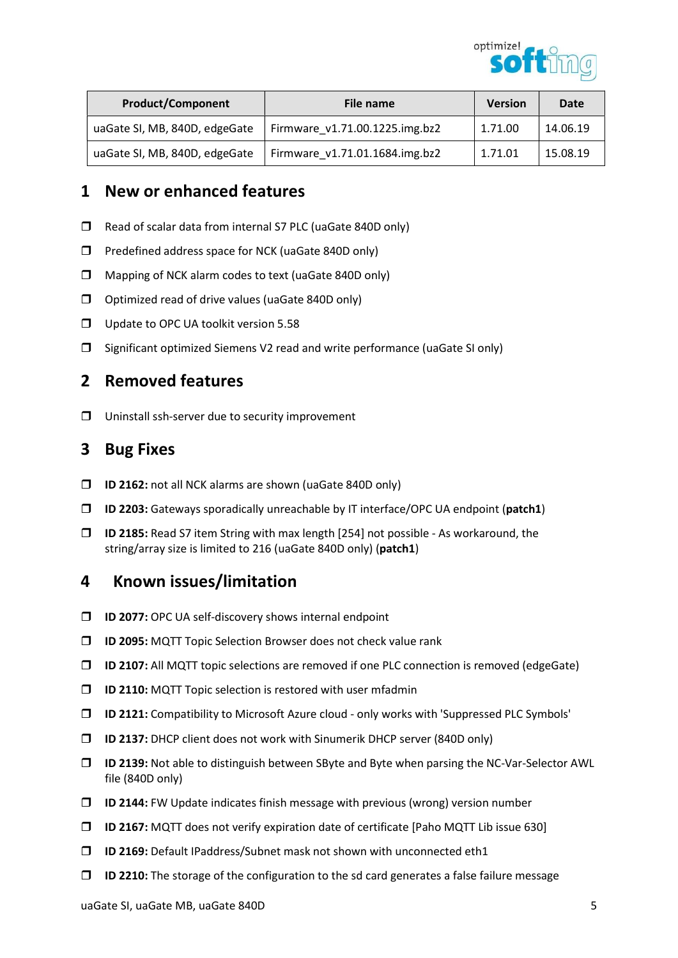

| <b>Product/Component</b>      | File name                      | <b>Version</b> | Date     |
|-------------------------------|--------------------------------|----------------|----------|
| uaGate SI, MB, 840D, edgeGate | Firmware v1.71.00.1225.img.bz2 | 1.71.00        | 14.06.19 |
| uaGate SI, MB, 840D, edgeGate | Firmware v1.71.01.1684.img.bz2 | 1.71.01        | 15.08.19 |

- □ Read of scalar data from internal S7 PLC (uaGate 840D only)
- $\Box$  Predefined address space for NCK (uaGate 840D only)
- Mapping of NCK alarm codes to text (uaGate 840D only)
- $\Box$  Optimized read of drive values (uaGate 840D only)
- **Update to OPC UA toolkit version 5.58**
- $\square$  Significant optimized Siemens V2 read and write performance (uaGate SI only)

# 2 Removed features

 $\Box$  Uninstall ssh-server due to security improvement

# 3 Bug Fixes

- ID 2162: not all NCK alarms are shown (uaGate 840D only)
- $\Box$  ID 2203: Gateways sporadically unreachable by IT interface/OPC UA endpoint (patch1)
- $\Box$  ID 2185: Read S7 item String with max length [254] not possible As workaround, the string/array size is limited to 216 (uaGate 840D only) (patch1)

- **ID 2077:** OPC UA self-discovery shows internal endpoint
- ID 2095: MQTT Topic Selection Browser does not check value rank
- ID 2107: All MQTT topic selections are removed if one PLC connection is removed (edgeGate)
- $\square$  ID 2110: MQTT Topic selection is restored with user mfadmin
- ID 2121: Compatibility to Microsoft Azure cloud only works with 'Suppressed PLC Symbols'
- ID 2137: DHCP client does not work with Sinumerik DHCP server (840D only)
- ID 2139: Not able to distinguish between SByte and Byte when parsing the NC-Var-Selector AWL file (840D only)
- $\Box$  ID 2144: FW Update indicates finish message with previous (wrong) version number
- ID 2167: MQTT does not verify expiration date of certificate [Paho MQTT Lib issue 630]
- ID 2169: Default IPaddress/Subnet mask not shown with unconnected eth1
- $\Box$  ID 2210: The storage of the configuration to the sd card generates a false failure message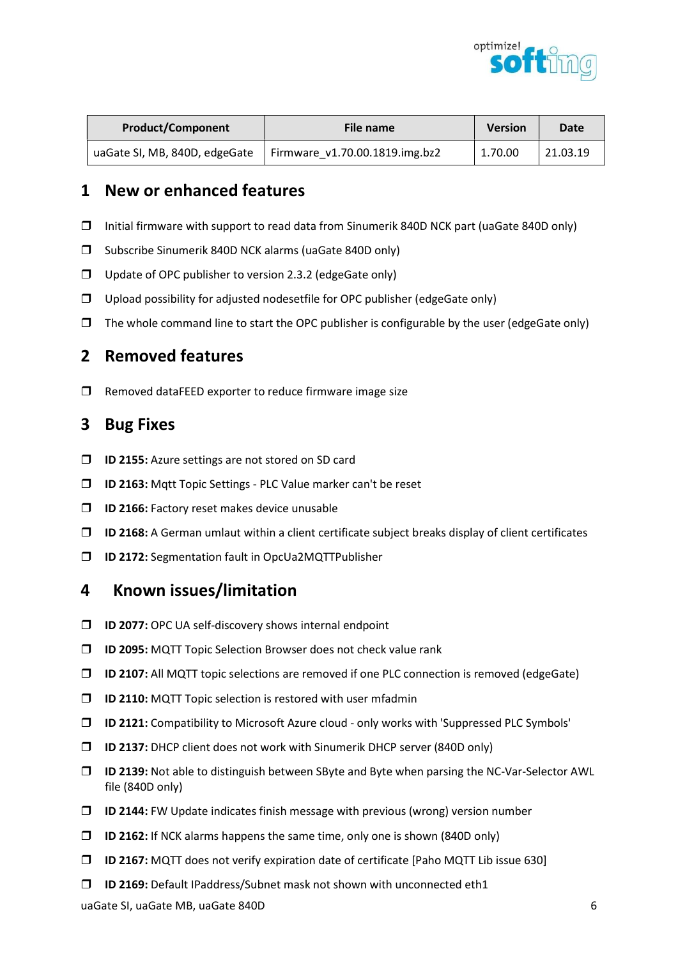

| <b>Product/Component</b>      | File name                      | <b>Version</b> | <b>Date</b> |
|-------------------------------|--------------------------------|----------------|-------------|
| uaGate SI, MB, 840D, edgeGate | Firmware v1.70.00.1819.img.bz2 | 1.70.00        | 21.03.19    |

- $\Box$  Initial firmware with support to read data from Sinumerik 840D NCK part (uaGate 840D only)
- $\square$  Subscribe Sinumerik 840D NCK alarms (uaGate 840D only)
- $\Box$  Update of OPC publisher to version 2.3.2 (edgeGate only)
- $\Box$  Upload possibility for adjusted nodesetfile for OPC publisher (edgeGate only)
- $\Box$  The whole command line to start the OPC publisher is configurable by the user (edgeGate only)

#### 2 Removed features

 $\square$  Removed dataFEED exporter to reduce firmware image size

#### 3 Bug Fixes

- **ID 2155:** Azure settings are not stored on SD card
- ID 2163: Mqtt Topic Settings PLC Value marker can't be reset
- **ID 2166:** Factory reset makes device unusable
- $\Box$  ID 2168: A German umlaut within a client certificate subject breaks display of client certificates
- ID 2172: Segmentation fault in OpcUa2MQTTPublisher

- $\Box$  ID 2077: OPC UA self-discovery shows internal endpoint
- **ID 2095:** MQTT Topic Selection Browser does not check value rank
- ID 2107: All MQTT topic selections are removed if one PLC connection is removed (edgeGate)
- $\square$  ID 2110: MQTT Topic selection is restored with user mfadmin
- ID 2121: Compatibility to Microsoft Azure cloud only works with 'Suppressed PLC Symbols'
- ID 2137: DHCP client does not work with Sinumerik DHCP server (840D only)
- ID 2139: Not able to distinguish between SByte and Byte when parsing the NC-Var-Selector AWL file (840D only)
- $\Box$  ID 2144: FW Update indicates finish message with previous (wrong) version number
- $\Box$  ID 2162: If NCK alarms happens the same time, only one is shown (840D only)
- ID 2167: MQTT does not verify expiration date of certificate [Paho MQTT Lib issue 630]
- ID 2169: Default IPaddress/Subnet mask not shown with unconnected eth1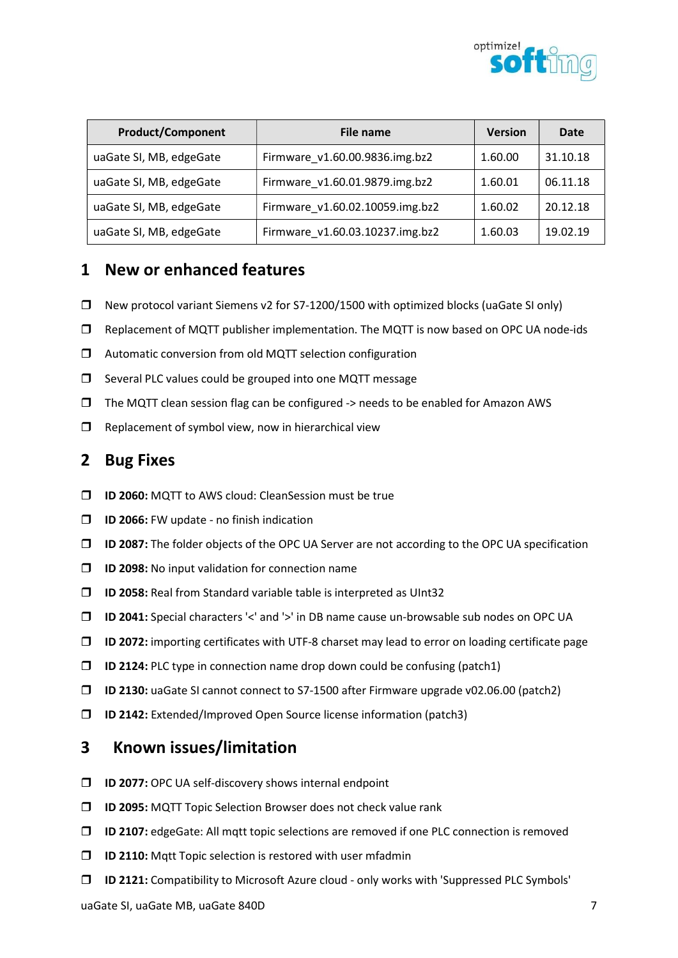

| <b>Product/Component</b> | File name                       | <b>Version</b> | Date     |
|--------------------------|---------------------------------|----------------|----------|
| uaGate SI, MB, edgeGate  | Firmware v1.60.00.9836.img.bz2  | 1.60.00        | 31.10.18 |
| uaGate SI, MB, edgeGate  | Firmware v1.60.01.9879.img.bz2  | 1.60.01        | 06.11.18 |
| uaGate SI, MB, edgeGate  | Firmware v1.60.02.10059.img.bz2 | 1.60.02        | 20.12.18 |
| uaGate SI, MB, edgeGate  | Firmware v1.60.03.10237.img.bz2 | 1.60.03        | 19.02.19 |

- New protocol variant Siemens v2 for S7-1200/1500 with optimized blocks (uaGate SI only)
- $\square$  Replacement of MQTT publisher implementation. The MQTT is now based on OPC UA node-ids
- $\Box$  Automatic conversion from old MQTT selection configuration
- $\square$  Several PLC values could be grouped into one MQTT message
- $\Box$  The MQTT clean session flag can be configured -> needs to be enabled for Amazon AWS
- $\Box$  Replacement of symbol view, now in hierarchical view

#### 2 Bug Fixes

- **ID 2060:** MQTT to AWS cloud: CleanSession must be true
- $\Box$  ID 2066: FW update no finish indication
- ID 2087: The folder objects of the OPC UA Server are not according to the OPC UA specification
- **ID 2098:** No input validation for connection name
- $\square$  ID 2058: Real from Standard variable table is interpreted as UInt32
- ID 2041: Special characters '<' and '>' in DB name cause un-browsable sub nodes on OPC UA
- $\Box$  ID 2072: importing certificates with UTF-8 charset may lead to error on loading certificate page
- $\Box$  ID 2124: PLC type in connection name drop down could be confusing (patch1)
- ID 2130: uaGate SI cannot connect to S7-1500 after Firmware upgrade v02.06.00 (patch2)
- ID 2142: Extended/Improved Open Source license information (patch3)

- **ID 2077:** OPC UA self-discovery shows internal endpoint
- ID 2095: MQTT Topic Selection Browser does not check value rank
- ID 2107: edgeGate: All mqtt topic selections are removed if one PLC connection is removed
- $\square$  ID 2110: Matt Topic selection is restored with user mfadmin
- ID 2121: Compatibility to Microsoft Azure cloud only works with 'Suppressed PLC Symbols'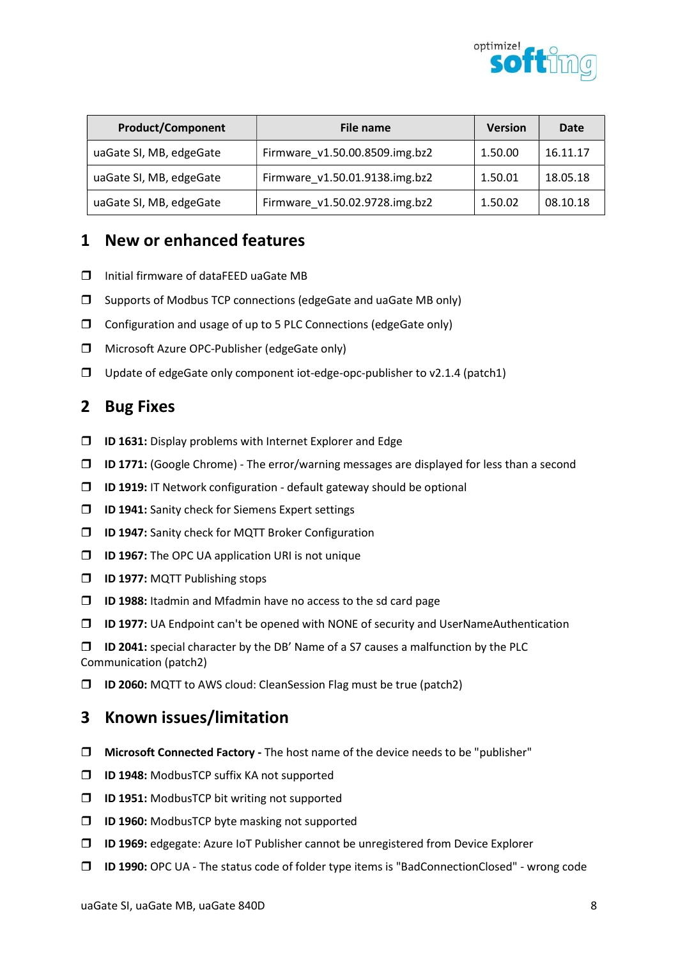

| <b>Product/Component</b> | File name                      | <b>Version</b> | Date     |
|--------------------------|--------------------------------|----------------|----------|
| uaGate SI, MB, edgeGate  | Firmware v1.50.00.8509.img.bz2 | 1.50.00        | 16.11.17 |
| uaGate SI, MB, edgeGate  | Firmware v1.50.01.9138.img.bz2 | 1.50.01        | 18.05.18 |
| uaGate SI, MB, edgeGate  | Firmware v1.50.02.9728.img.bz2 | 1.50.02        | 08.10.18 |

- □ Initial firmware of dataFEED uaGate MB
- $\square$  Supports of Modbus TCP connections (edgeGate and uaGate MB only)
- $\Box$  Configuration and usage of up to 5 PLC Connections (edgeGate only)
- □ Microsoft Azure OPC-Publisher (edgeGate only)
- $\Box$  Update of edgeGate only component iot-edge-opc-publisher to v2.1.4 (patch1)

#### 2 Bug Fixes

- $\square$  ID 1631: Display problems with Internet Explorer and Edge
- $\Box$  ID 1771: (Google Chrome) The error/warning messages are displayed for less than a second
- $\Box$  ID 1919: IT Network configuration default gateway should be optional
- **ID 1941:** Sanity check for Siemens Expert settings
- ID 1947: Sanity check for MQTT Broker Configuration
- **ID 1967:** The OPC UA application URI is not unique
- **ID 1977: MQTT Publishing stops**
- $\Box$  ID 1988: Itadmin and Mfadmin have no access to the sd card page
- $\Box$  ID 1977: UA Endpoint can't be opened with NONE of security and UserNameAuthentication

 $\Box$  ID 2041: special character by the DB' Name of a S7 causes a malfunction by the PLC Communication (patch2)

ID 2060: MQTT to AWS cloud: CleanSession Flag must be true (patch2)

- $\Box$  Microsoft Connected Factory The host name of the device needs to be "publisher"
- **ID 1948:** ModbusTCP suffix KA not supported
- **ID 1951:** ModbusTCP bit writing not supported
- **ID 1960:** ModbusTCP byte masking not supported
- $\square$  ID 1969: edgegate: Azure IoT Publisher cannot be unregistered from Device Explorer
- ID 1990: OPC UA The status code of folder type items is "BadConnectionClosed" wrong code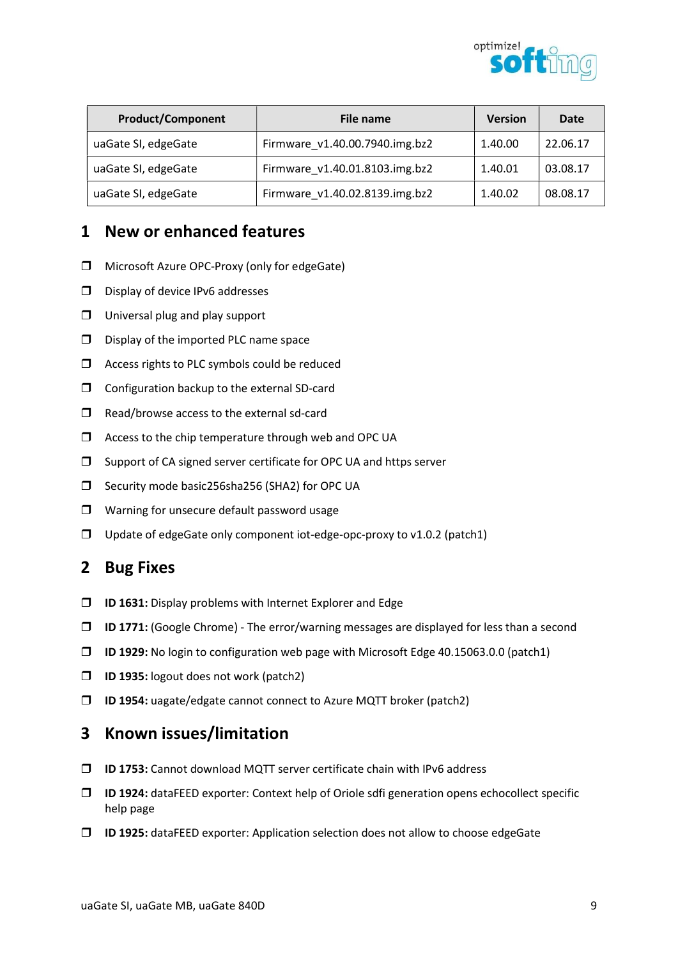

| <b>Product/Component</b> | File name                      | <b>Version</b> | Date     |
|--------------------------|--------------------------------|----------------|----------|
| uaGate SI, edgeGate      | Firmware_v1.40.00.7940.img.bz2 | 1.40.00        | 22.06.17 |
| uaGate SI, edgeGate      | Firmware v1.40.01.8103.img.bz2 | 1.40.01        | 03.08.17 |
| uaGate SI, edgeGate      | Firmware v1.40.02.8139.img.bz2 | 1.40.02        | 08.08.17 |

- □ Microsoft Azure OPC-Proxy (only for edgeGate)
- $\square$  Display of device IPv6 addresses
- $\Box$  Universal plug and play support
- $\square$  Display of the imported PLC name space
- $\Box$  Access rights to PLC symbols could be reduced
- $\Box$  Configuration backup to the external SD-card
- $\Box$  Read/browse access to the external sd-card
- $\Box$  Access to the chip temperature through web and OPC UA
- $\square$  Support of CA signed server certificate for OPC UA and https server
- □ Security mode basic256sha256 (SHA2) for OPC UA
- $\Box$  Warning for unsecure default password usage
- $\Box$  Update of edgeGate only component iot-edge-opc-proxy to v1.0.2 (patch1)

# 2 Bug Fixes

- $\Box$  ID 1631: Display problems with Internet Explorer and Edge
- $\Box$  ID 1771: (Google Chrome) The error/warning messages are displayed for less than a second
- $\Box$  ID 1929: No login to configuration web page with Microsoft Edge 40.15063.0.0 (patch1)
- ID 1935: logout does not work (patch2)
- $\Box$  ID 1954: uagate/edgate cannot connect to Azure MQTT broker (patch2)

- □ **ID 1753:** Cannot download MQTT server certificate chain with IPv6 address
- $\Box$  ID 1924: dataFEED exporter: Context help of Oriole sdfi generation opens echocollect specific help page
- ID 1925: dataFEED exporter: Application selection does not allow to choose edgeGate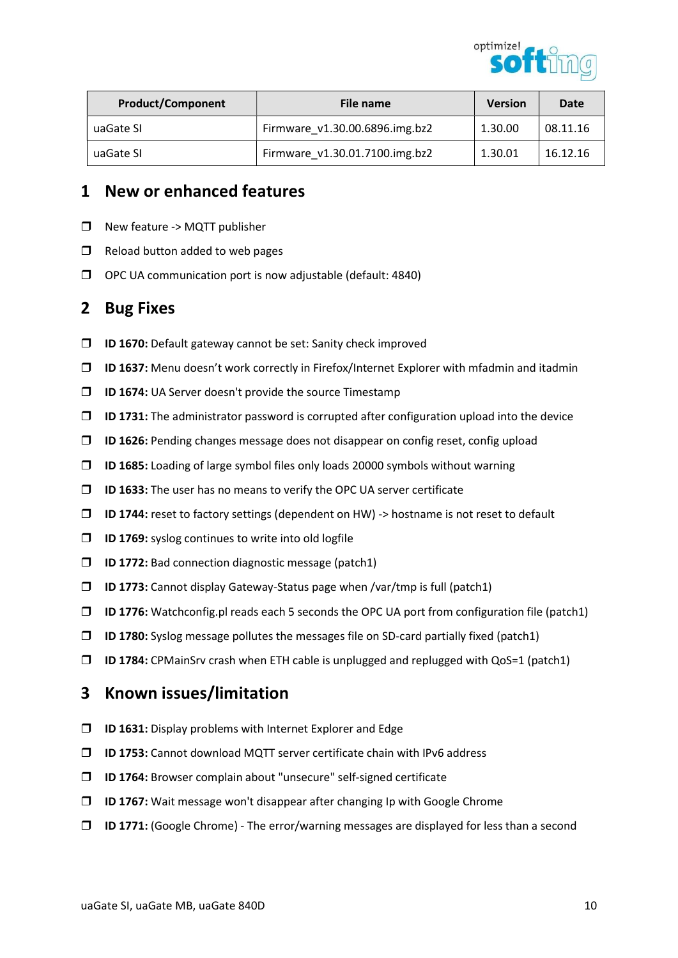

| <b>Product/Component</b> | File name                      | <b>Version</b> | Date     |
|--------------------------|--------------------------------|----------------|----------|
| uaGate SI                | Firmware v1.30.00.6896.img.bz2 | 1.30.00        | 08.11.16 |
| uaGate SI                | Firmware v1.30.01.7100.img.bz2 | 1.30.01        | 16.12.16 |

- $\Box$  New feature -> MQTT publisher
- $\Box$  Reload button added to web pages
- $\Box$  OPC UA communication port is now adjustable (default: 4840)

#### 2 Bug Fixes

- $\Box$  ID 1670: Default gateway cannot be set: Sanity check improved
- ID 1637: Menu doesn't work correctly in Firefox/Internet Explorer with mfadmin and itadmin
- $\Box$  ID 1674: UA Server doesn't provide the source Timestamp
- $\Box$  ID 1731: The administrator password is corrupted after configuration upload into the device
- $\Box$  ID 1626: Pending changes message does not disappear on config reset, config upload
- ID 1685: Loading of large symbol files only loads 20000 symbols without warning
- $\Box$  ID 1633: The user has no means to verify the OPC UA server certificate
- $\Box$  ID 1744: reset to factory settings (dependent on HW) -> hostname is not reset to default
- $\Box$  ID 1769: syslog continues to write into old logfile
- $\Box$  ID 1772: Bad connection diagnostic message (patch1)
- $\Box$  ID 1773: Cannot display Gateway-Status page when /var/tmp is full (patch1)
- $\Box$  ID 1776: Watchconfig.pl reads each 5 seconds the OPC UA port from configuration file (patch1)
- $\Box$  ID 1780: Syslog message pollutes the messages file on SD-card partially fixed (patch1)
- $\Box$  ID 1784: CPMainSrv crash when ETH cable is unplugged and replugged with QoS=1 (patch1)

- $\Box$  ID 1631: Display problems with Internet Explorer and Edge
- □ **ID 1753:** Cannot download MQTT server certificate chain with IPv6 address
- ID 1764: Browser complain about "unsecure" self-signed certificate
- ID 1767: Wait message won't disappear after changing Ip with Google Chrome
- $\Box$  ID 1771: (Google Chrome) The error/warning messages are displayed for less than a second